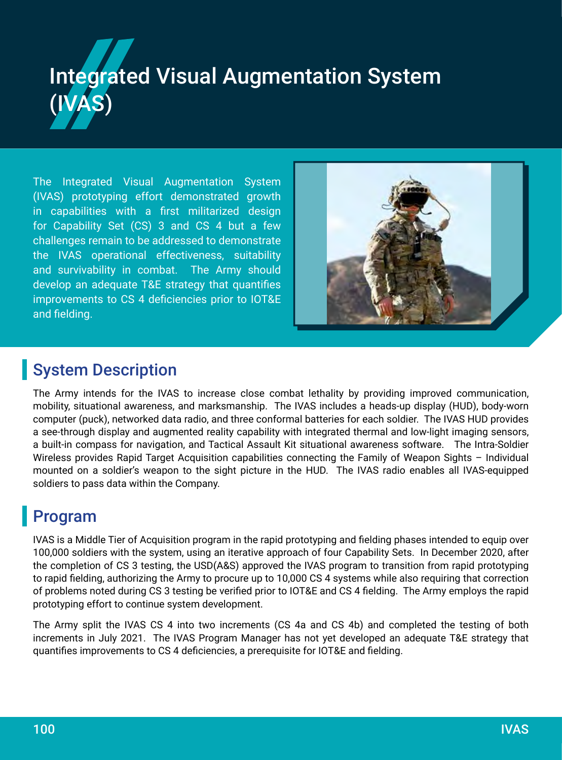# Integrated Visual Augmentation System (IVAS)

The Integrated Visual Augmentation System (IVAS) prototyping effort demonstrated growth in capabilities with a first militarized design for Capability Set (CS) 3 and CS 4 but a few challenges remain to be addressed to demonstrate the IVAS operational effectiveness, suitability and survivability in combat. The Army should develop an adequate T&E strategy that quantifies improvements to CS 4 deficiencies prior to IOT&E and fielding.



#### System Description

The Army intends for the IVAS to increase close combat lethality by providing improved communication, mobility, situational awareness, and marksmanship. The IVAS includes a heads-up display (HUD), body-worn computer (puck), networked data radio, and three conformal batteries for each soldier. The IVAS HUD provides a see-through display and augmented reality capability with integrated thermal and low-light imaging sensors, a built-in compass for navigation, and Tactical Assault Kit situational awareness software. The Intra-Soldier Wireless provides Rapid Target Acquisition capabilities connecting the Family of Weapon Sights - Individual mounted on a soldier's weapon to the sight picture in the HUD. The IVAS radio enables all IVAS-equipped soldiers to pass data within the Company.

## Program

IVAS is a Middle Tier of Acquisition program in the rapid prototyping and fielding phases intended to equip over 100,000 soldiers with the system, using an iterative approach of four Capability Sets. In December 2020, after the completion of CS 3 testing, the USD(A&S) approved the IVAS program to transition from rapid prototyping to rapid fielding, authorizing the Army to procure up to 10,000 CS 4 systems while also requiring that correction of problems noted during CS 3 testing be verified prior to IOT&E and CS 4 fielding. The Army employs the rapid prototyping effort to continue system development.

The Army split the IVAS CS 4 into two increments (CS 4a and CS 4b) and completed the testing of both increments in July 2021. The IVAS Program Manager has not yet developed an adequate T&E strategy that quantifies improvements to CS 4 deficiencies, a prerequisite for IOT&E and fielding.